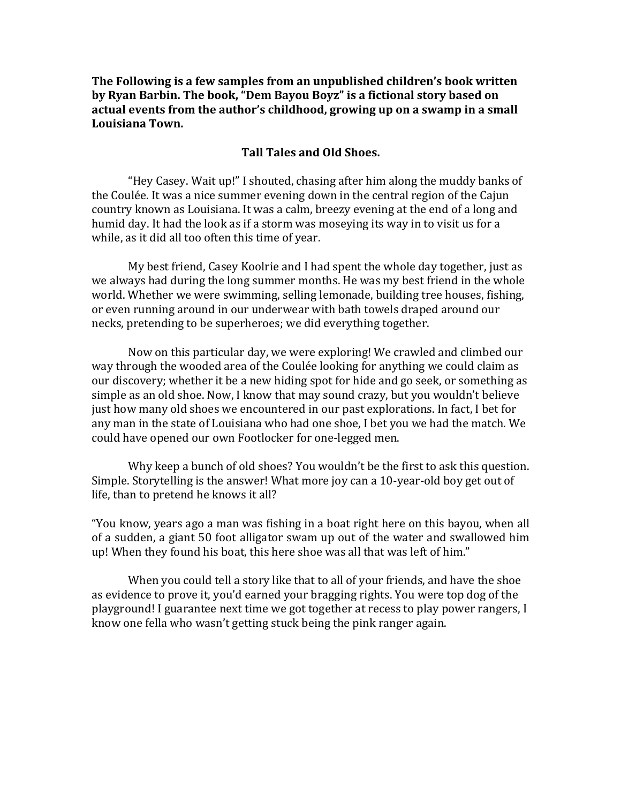**The Following is a few samples from an unpublished children's book written** by Ryan Barbin. The book, "Dem Bayou Boyz" is a fictional story based on actual events from the author's childhood, growing up on a swamp in a small **Louisiana Town.**

## **Tall Tales and Old Shoes.**

"Hey Casey. Wait up!" I shouted, chasing after him along the muddy banks of the Coulée. It was a nice summer evening down in the central region of the Cajun country known as Louisiana. It was a calm, breezy evening at the end of a long and humid day. It had the look as if a storm was moseying its way in to visit us for a while, as it did all too often this time of year.

My best friend, Casey Koolrie and I had spent the whole day together, just as we always had during the long summer months. He was my best friend in the whole world. Whether we were swimming, selling lemonade, building tree houses, fishing, or even running around in our underwear with bath towels draped around our necks, pretending to be superheroes; we did everything together.

Now on this particular day, we were exploring! We crawled and climbed our way through the wooded area of the Coulée looking for anything we could claim as our discovery; whether it be a new hiding spot for hide and go seek, or something as simple as an old shoe. Now, I know that may sound crazy, but you wouldn't believe just how many old shoes we encountered in our past explorations. In fact, I bet for any man in the state of Louisiana who had one shoe, I bet you we had the match. We could have opened our own Footlocker for one-legged men.

Why keep a bunch of old shoes? You wouldn't be the first to ask this question. Simple. Storytelling is the answer! What more joy can a 10-year-old boy get out of life, than to pretend he knows it all?

"You know, years ago a man was fishing in a boat right here on this bayou, when all of a sudden, a giant 50 foot alligator swam up out of the water and swallowed him up! When they found his boat, this here shoe was all that was left of him."

When you could tell a story like that to all of your friends, and have the shoe as evidence to prove it, you'd earned your bragging rights. You were top dog of the playground! I guarantee next time we got together at recess to play power rangers, I know one fella who wasn't getting stuck being the pink ranger again.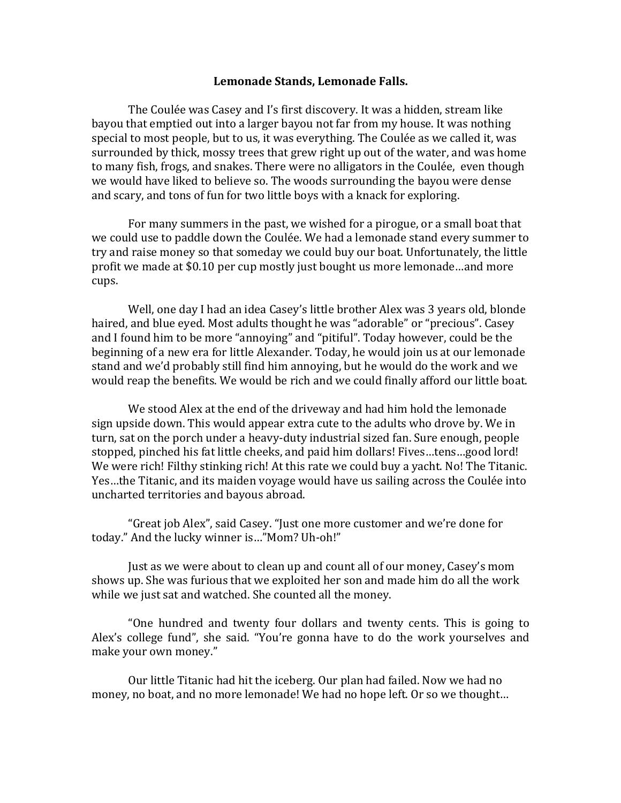## Lemonade Stands, Lemonade Falls.

The Coulée was Casey and I's first discovery. It was a hidden, stream like bayou that emptied out into a larger bayou not far from my house. It was nothing special to most people, but to us, it was everything. The Coulée as we called it, was surrounded by thick, mossy trees that grew right up out of the water, and was home to many fish, frogs, and snakes. There were no alligators in the Coulée, even though we would have liked to believe so. The woods surrounding the bayou were dense and scary, and tons of fun for two little boys with a knack for exploring.

For many summers in the past, we wished for a pirogue, or a small boat that we could use to paddle down the Coulée. We had a lemonade stand every summer to try and raise money so that someday we could buy our boat. Unfortunately, the little profit we made at \$0.10 per cup mostly just bought us more lemonade...and more cups.

Well, one day I had an idea Casey's little brother Alex was 3 years old, blonde haired, and blue eyed. Most adults thought he was "adorable" or "precious". Casey and I found him to be more "annoying" and "pitiful". Today however, could be the beginning of a new era for little Alexander. Today, he would join us at our lemonade stand and we'd probably still find him annoying, but he would do the work and we would reap the benefits. We would be rich and we could finally afford our little boat.

We stood Alex at the end of the driveway and had him hold the lemonade sign upside down. This would appear extra cute to the adults who drove by. We in turn, sat on the porch under a heavy-duty industrial sized fan. Sure enough, people stopped, pinched his fat little cheeks, and paid him dollars! Fives...tens...good lord! We were rich! Filthy stinking rich! At this rate we could buy a yacht. No! The Titanic. Yes...the Titanic, and its maiden voyage would have us sailing across the Coulée into uncharted territories and bayous abroad.

"Great job Alex", said Casey. "Just one more customer and we're done for today." And the lucky winner is..."Mom? Uh-oh!"

Just as we were about to clean up and count all of our money, Casey's mom shows up. She was furious that we exploited her son and made him do all the work while we just sat and watched. She counted all the money.

"One hundred and twenty four dollars and twenty cents. This is going to Alex's college fund", she said. "You're gonna have to do the work yourselves and make your own money."

Our little Titanic had hit the iceberg. Our plan had failed. Now we had no money, no boat, and no more lemonade! We had no hope left. Or so we thought...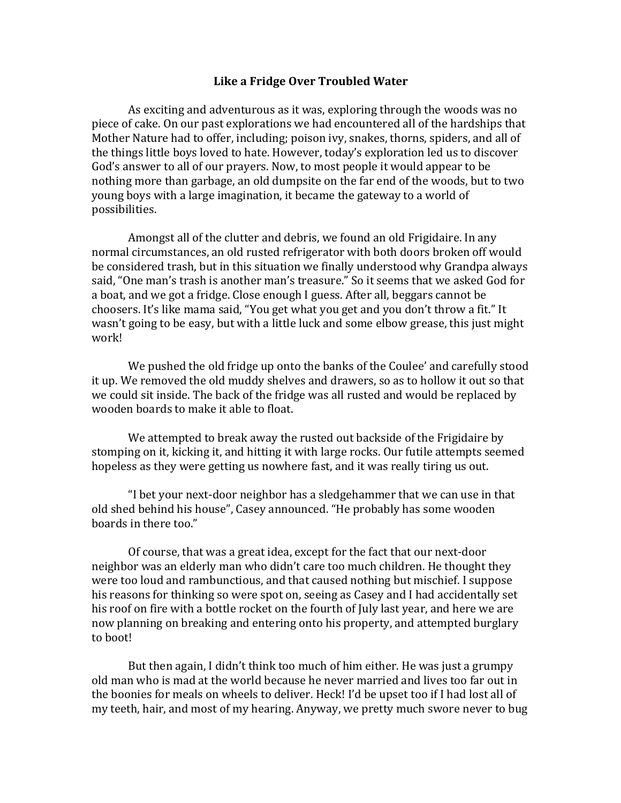## **Like a Fridge Over Troubled Water**

As exciting and adventurous as it was, exploring through the woods was no piece of cake. On our past explorations we had encountered all of the hardships that Mother Nature had to offer, including; poison ivy, snakes, thorns, spiders, and all of the things little boys loved to hate. However, today's exploration led us to discover God's answer to all of our prayers. Now, to most people it would appear to be nothing more than garbage, an old dumpsite on the far end of the woods, but to two young boys with a large imagination, it became the gateway to a world of possibilities.

Amongst all of the clutter and debris, we found an old Frigidaire. In any normal circumstances, an old rusted refrigerator with both doors broken off would be considered trash, but in this situation we finally understood why Grandpa always said, "One man's trash is another man's treasure." So it seems that we asked God for a boat, and we got a fridge. Close enough I guess. After all, beggars cannot be choosers. It's like mama said, "You get what you get and you don't throw a fit." It wasn't going to be easy, but with a little luck and some elbow grease, this just might work!

We pushed the old fridge up onto the banks of the Coulee' and carefully stood it up. We removed the old muddy shelves and drawers, so as to hollow it out so that we could sit inside. The back of the fridge was all rusted and would be replaced by wooden boards to make it able to float.

We attempted to break away the rusted out backside of the Frigidaire by stomping on it, kicking it, and hitting it with large rocks. Our futile attempts seemed hopeless as they were getting us nowhere fast, and it was really tiring us out.

"I bet your next-door neighbor has a sledgehammer that we can use in that old shed behind his house", Casey announced. "He probably has some wooden boards in there too."

Of course, that was a great idea, except for the fact that our next-door neighbor was an elderly man who didn't care too much children. He thought they were too loud and rambunctious, and that caused nothing but mischief. I suppose his reasons for thinking so were spot on, seeing as Casey and I had accidentally set his roof on fire with a bottle rocket on the fourth of July last year, and here we are now planning on breaking and entering onto his property, and attempted burglary to boot!

But then again, I didn't think too much of him either. He was just a grumpy old man who is mad at the world because he never married and lives too far out in the boonies for meals on wheels to deliver. Heck! I'd be upset too if I had lost all of my teeth, hair, and most of my hearing. Anyway, we pretty much swore never to bug